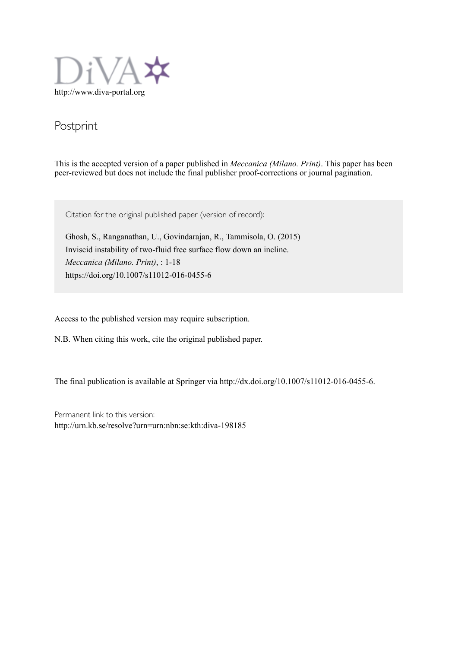

# Postprint

This is the accepted version of a paper published in *Meccanica (Milano. Print)*. This paper has been peer-reviewed but does not include the final publisher proof-corrections or journal pagination.

Citation for the original published paper (version of record):

Ghosh, S., Ranganathan, U., Govindarajan, R., Tammisola, O. (2015) Inviscid instability of two-fluid free surface flow down an incline. *Meccanica (Milano. Print)*, : 1-18 https://doi.org/10.1007/s11012-016-0455-6

Access to the published version may require subscription.

N.B. When citing this work, cite the original published paper.

The final publication is available at Springer via http://dx.doi.org/10.1007/s11012-016-0455-6.

Permanent link to this version: http://urn.kb.se/resolve?urn=urn:nbn:se:kth:diva-198185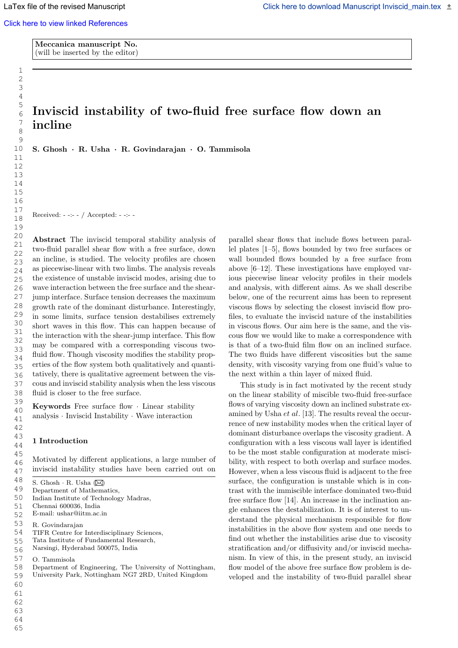Meccanica manuscript No. (will be inserted by the editor)

# Inviscid instability of two-fluid free surface flow down an incline

S. Ghosh · R. Usha · R. Govindarajan · O. Tammisola

Received: - -:- - / Accepted: - -:- -

Abstract The inviscid temporal stability analysis of two-fluid parallel shear flow with a free surface, down an incline, is studied. The velocity profiles are chosen as piecewise-linear with two limbs. The analysis reveals the existence of unstable inviscid modes, arising due to wave interaction between the free surface and the shearjump interface. Surface tension decreases the maximum growth rate of the dominant disturbance. Interestingly, in some limits, surface tension destabilises extremely short waves in this flow. This can happen because of the interaction with the shear-jump interface. This flow may be compared with a corresponding viscous twofluid flow. Though viscosity modifies the stability properties of the flow system both qualitatively and quantitatively, there is qualitative agreement between the viscous and inviscid stability analysis when the less viscous fluid is closer to the free surface.

Keywords Free surface flow · Linear stability analysis · Inviscid Instability · Wave interaction

### 1 Introduction

Motivated by different applications, a large number of inviscid instability studies have been carried out on

- Indian Institute of Technology Madras, 50
- Chennai 600036, India 51
- E-mail: ushar@iitm.ac.in 52
- R. Govindarajan 53
- TIFR Centre for Interdisciplinary Sciences, 54
- Tata Institute of Fundamental Research, 55
- Narsingi, Hyderabad 500075, India 56
- O. Tammisola 57
- Department of Engineering, The University of Nottingham, University Park, Nottingham NG7 2RD, United Kingdom 58 59
- 60
- 61
- 62 63

64

65

parallel shear flows that include flows between parallel plates [1–5], flows bounded by two free surfaces or wall bounded flows bounded by a free surface from above [6–12]. These investigations have employed various piecewise linear velocity profiles in their models and analysis, with different aims. As we shall describe below, one of the recurrent aims has been to represent viscous flows by selecting the closest inviscid flow profiles, to evaluate the inviscid nature of the instabilities in viscous flows. Our aim here is the same, and the viscous flow we would like to make a correspondence with is that of a two-fluid film flow on an inclined surface. The two fluids have different viscosities but the same density, with viscosity varying from one fluid's value to the next within a thin layer of mixed fluid.

This study is in fact motivated by the recent study on the linear stability of miscible two-fluid free-surface flows of varying viscosity down an inclined substrate examined by Usha *et al.* [13]. The results reveal the occurrence of new instability modes when the critical layer of dominant disturbance overlaps the viscosity gradient. A configuration with a less viscous wall layer is identified to be the most stable configuration at moderate miscibility, with respect to both overlap and surface modes. However, when a less viscous fluid is adjacent to the free surface, the configuration is unstable which is in contrast with the immiscible interface dominated two-fluid free surface flow [14]. An increase in the inclination angle enhances the destabilization. It is of interest to understand the physical mechanism responsible for flow instabilities in the above flow system and one needs to find out whether the instabilities arise due to viscosity stratification and/or diffusivity and/or inviscid mechanism. In view of this, in the present study, an inviscid flow model of the above free surface flow problem is developed and the instability of two-fluid parallel shear

S. Ghosh  $\cdot$  R. Usha  $(\boxtimes)$ 48 49

Department of Mathematics,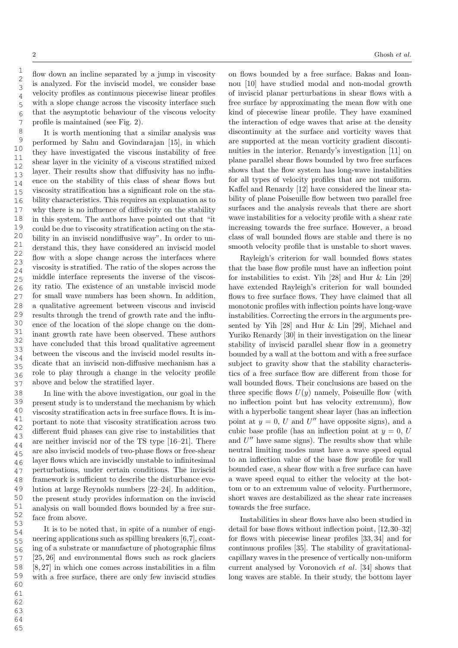1 2 3

flow down an incline separated by a jump in viscosity is analyzed. For the inviscid model, we consider base velocity profiles as continuous piecewise linear profiles with a slope change across the viscosity interface such that the asymptotic behaviour of the viscous velocity profile is maintained (see Fig. 2).

It is worth mentioning that a similar analysis was performed by Sahu and Govindarajan [15], in which they have investigated the viscous instability of free shear layer in the vicinity of a viscous stratified mixed layer. Their results show that diffusivity has no influence on the stability of this class of shear flows but viscosity stratification has a significant role on the stability characteristics. This requires an explanation as to why there is no influence of diffusivity on the stability in this system. The authors have pointed out that "it could be due to viscosity stratification acting on the stability in an inviscid nondiffusive way". In order to understand this, they have considered an inviscid model flow with a slope change across the interfaces where viscosity is stratified. The ratio of the slopes across the middle interface represents the inverse of the viscosity ratio. The existence of an unstable inviscid mode for small wave numbers has been shown. In addition, a qualitative agreement between viscous and inviscid results through the trend of growth rate and the influence of the location of the slope change on the dominant growth rate have been observed. These authors have concluded that this broad qualitative agreement between the viscous and the inviscid model results indicate that an inviscid non-diffusive mechanism has a role to play through a change in the velocity profile above and below the stratified layer.

In line with the above investigation, our goal in the present study is to understand the mechanism by which viscosity stratification acts in free surface flows. It is important to note that viscosity stratification across two different fluid phases can give rise to instabilities that are neither inviscid nor of the TS type [16–21]. There are also inviscid models of two-phase flows or free-shear layer flows which are inviscidly unstable to infinitesimal perturbations, under certain conditions. The inviscid framework is sufficient to describe the disturbance evolution at large Reynolds numbers [22–24]. In addition, the present study provides information on the inviscid analysis on wall bounded flows bounded by a free surface from above.

It is to be noted that, in spite of a number of engineering applications such as spilling breakers [6,7], coating of a substrate or manufacture of photographic films [25, 26] and environmental flows such as rock glaciers [8, 27] in which one comes across instabilities in a film with a free surface, there are only few inviscid studies on flows bounded by a free surface. Bakas and Ioannou [10] have studied modal and non-modal growth of inviscid planar perturbations in shear flows with a free surface by approximating the mean flow with one kind of piecewise linear profile. They have examined the interaction of edge waves that arise at the density discontinuity at the surface and vorticity waves that are supported at the mean vorticity gradient discontinuities in the interior. Renardy's investigation [11] on plane parallel shear flows bounded by two free surfaces shows that the flow system has long-wave instabilities for all types of velocity profiles that are not uniform. Kaffel and Renardy [12] have considered the linear stability of plane Poiseuille flow between two parallel free surfaces and the analysis reveals that there are short wave instabilities for a velocity profile with a shear rate increasing towards the free surface. However, a broad class of wall bounded flows are stable and there is no smooth velocity profile that is unstable to short waves.

Rayleigh's criterion for wall bounded flows states that the base flow profile must have an inflection point for instabilities to exist. Yih [28] and Hur & Lin [29] have extended Rayleigh's criterion for wall bounded flows to free surface flows. They have claimed that all monotonic profiles with inflection points have long-wave instabilities. Correcting the errors in the arguments presented by Yih [28] and Hur & Lin [29], Michael and Yuriko Renardy [30] in their investigation on the linear stability of inviscid parallel shear flow in a geometry bounded by a wall at the bottom and with a free surface subject to gravity show that the stability characteristics of a free surface flow are different from those for wall bounded flows. Their conclusions are based on the three specific flows  $U(y)$  namely, Poiseuille flow (with no inflection point but has velocity extremum), flow with a hyperbolic tangent shear layer (has an inflection point at  $y = 0$ , U and U'' have opposite signs), and a cubic base profile (has an inflection point at  $y = 0$ , U and  $U''$  have same signs). The results show that while neutral limiting modes must have a wave speed equal to an inflection value of the base flow profile for wall bounded case, a shear flow with a free surface can have a wave speed equal to either the velocity at the bottom or to an extremum value of velocity. Furthermore, short waves are destabilized as the shear rate increases towards the free surface.

Instabilities in shear flows have also been studied in detail for base flows without inflection point, [12,30–32] for flows with piecewise linear profiles [33, 34] and for continuous profiles [35]. The stability of gravitationalcapillary waves in the presence of vertically non-uniform current analysed by Voronovich et al. [34] shows that long waves are stable. In their study, the bottom layer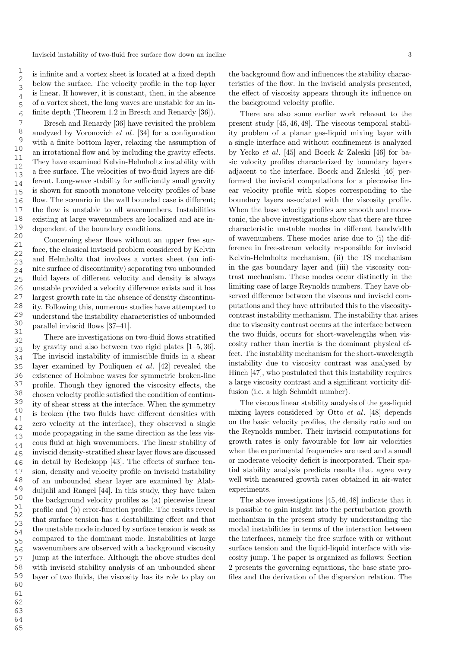is infinite and a vortex sheet is located at a fixed depth below the surface. The velocity profile in the top layer is linear. If however, it is constant, then, in the absence of a vortex sheet, the long waves are unstable for an infinite depth (Theorem 1.2 in Bresch and Renardy [36]).

Bresch and Renardy [36] have revisited the problem analyzed by Voronovich et al. [34] for a configuration with a finite bottom layer, relaxing the assumption of an irrotational flow and by including the gravity effects. They have examined Kelvin-Helmholtz instability with a free surface. The velocities of two-fluid layers are different. Long-wave stability for sufficiently small gravity is shown for smooth monotone velocity profiles of base flow. The scenario in the wall bounded case is different; the flow is unstable to all wavenumbers. Instabilities existing at large wavenumbers are localized and are independent of the boundary conditions.

Concerning shear flows without an upper free surface, the classical inviscid problem considered by Kelvin and Helmholtz that involves a vortex sheet (an infinite surface of discontinuity) separating two unbounded fluid layers of different velocity and density is always unstable provided a velocity difference exists and it has largest growth rate in the absence of density discontinuity. Following this, numerous studies have attempted to understand the instability characteristics of unbounded parallel inviscid flows [37–41].

There are investigations on two-fluid flows stratified by gravity and also between two rigid plates [1–5, 36]. The inviscid instability of immiscible fluids in a shear layer examined by Pouliquen et al. [42] revealed the existence of Holmboe waves for symmetric broken-line profile. Though they ignored the viscosity effects, the chosen velocity profile satisfied the condition of continuity of shear stress at the interface. When the symmetry is broken (the two fluids have different densities with zero velocity at the interface), they observed a single mode propagating in the same direction as the less viscous fluid at high wavenumbers. The linear stability of inviscid density-stratified shear layer flows are discussed in detail by Redekopp [43]. The effects of surface tension, density and velocity profile on inviscid instability of an unbounded shear layer are examined by Alabduljalil and Rangel [44]. In this study, they have taken the background velocity profiles as (a) piecewise linear profile and (b) error-function profile. The results reveal that surface tension has a destabilizing effect and that the unstable mode induced by surface tension is weak as compared to the dominant mode. Instabilities at large wavenumbers are observed with a background viscosity jump at the interface. Although the above studies deal with inviscid stability analysis of an unbounded shear layer of two fluids, the viscosity has its role to play on

the background flow and influences the stability characteristics of the flow. In the inviscid analysis presented, the effect of viscosity appears through its influence on the background velocity profile.

There are also some earlier work relevant to the present study [45, 46, 48]. The viscous temporal stability problem of a planar gas-liquid mixing layer with a single interface and without confinement is analyzed by Yecko et al. [45] and Boeck & Zaleski [46] for basic velocity profiles characterized by boundary layers adjacent to the interface. Boeck and Zaleski [46] performed the inviscid computations for a piecewise linear velocity profile with slopes corresponding to the boundary layers associated with the viscosity profile. When the base velocity profiles are smooth and monotonic, the above investigations show that there are three characteristic unstable modes in different bandwidth of wavenumbers. These modes arise due to (i) the difference in free-stream velocity responsible for inviscid Kelvin-Helmholtz mechanism, (ii) the TS mechanism in the gas boundary layer and (iii) the viscosity contrast mechanism. These modes occur distinctly in the limiting case of large Reynolds numbers. They have observed difference between the viscous and inviscid computations and they have attributed this to the viscositycontrast instability mechanism. The instability that arises due to viscosity contrast occurs at the interface between the two fluids, occurs for short-wavelengths when viscosity rather than inertia is the dominant physical effect. The instability mechanism for the short-wavelength instability due to viscosity contrast was analysed by Hinch [47], who postulated that this instability requires a large viscosity contrast and a significant vorticity diffusion (i.e. a high Schmidt number).

The viscous linear stability analysis of the gas-liquid mixing layers considered by Otto et al. [48] depends on the basic velocity profiles, the density ratio and on the Reynolds number. Their inviscid computations for growth rates is only favourable for low air velocities when the experimental frequencies are used and a small or moderate velocity deficit is incorporated. Their spatial stability analysis predicts results that agree very well with measured growth rates obtained in air-water experiments.

The above investigations [45, 46, 48] indicate that it is possible to gain insight into the perturbation growth mechanism in the present study by understanding the modal instabilities in terms of the interaction between the interfaces, namely the free surface with or without surface tension and the liquid-liquid interface with viscosity jump. The paper is organized as follows: Section 2 presents the governing equations, the base state profiles and the derivation of the dispersion relation. The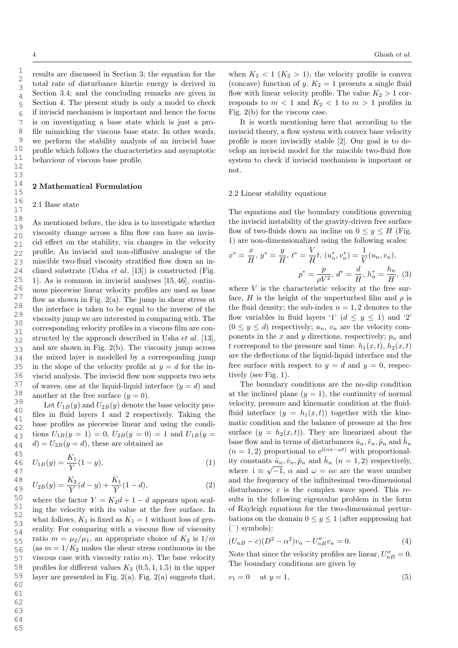results are discussed in Section 3; the equation for the total rate of disturbance kinetic energy is derived in Section 3.4; and the concluding remarks are given in Section 4. The present study is only a model to check if inviscid mechanism is important and hence the focus is on investigating a base state which is just a profile mimicking the viscous base state. In other words, we perform the stability analysis of an inviscid base profile which follows the characteristics and asymptotic behaviour of viscous base profile.

### 2 Mathematical Formulation

### 2.1 Base state

As mentioned before, the idea is to investigate whether viscosity change across a film flow can have an inviscid effect on the stability, via changes in the velocity profile. An inviscid and non-diffusive analogue of the miscible two-fluid viscosity stratified flow down an inclined substrate (Usha *et al.* [13]) is constructed (Fig. 1). As is common in inviscid analyses [15, 46], continuous piecewise linear velocity profiles are used as base flow as shown in Fig.  $2(a)$ . The jump in shear stress at the interface is taken to be equal to the inverse of the viscosity jump we are interested in comparing with. The corresponding velocity profiles in a viscous film are constructed by the approach described in Usha *et al.* [13], and are shown in Fig. 2(b). The viscosity jump across the mixed layer is modelled by a corresponding jump in the slope of the velocity profile at  $y = d$  for the inviscid analysis. The inviscid flow now supports two sets of waves, one at the liquid-liquid interface  $(y = d)$  and another at the free surface  $(y = 0)$ .

Let  $U_{1B}(y)$  and  $U_{2B}(y)$  denote the base velocity profiles in fluid layers 1 and 2 respectively. Taking the base profiles as piecewise linear and using the conditions  $U_{1B}(y = 1) = 0$ ,  $U_{2B}(y = 0) = 1$  and  $U_{1B}(y = 1)$  $d = U_{2B}(y=d)$ , these are obtained as

$$
U_{1B}(y) = \frac{K_1}{Y}(1-y),\tag{1}
$$

$$
U_{2B}(y) = \frac{K_2}{Y}(d-y) + \frac{K_1}{Y}(1-d),
$$
\n(2)

where the factor  $Y = K_2d + 1 - d$  appears upon scaling the velocity with its value at the free surface. In what follows,  $K_1$  is fixed as  $K_1 = 1$  without loss of generality. For comparing with a viscous flow of viscosity ratio  $m = \mu_2/\mu_1$ , an appropriate choice of  $K_2$  is  $1/m$ (as  $m = 1/K_2$  makes the shear stress continuous in the viscous case with viscosity ratio  $m$ ). The base velocity profiles for different values  $K_2$  (0.5, 1, 1.5) in the upper layer are presented in Fig.  $2(a)$ . Fig.  $2(a)$  suggests that,

when  $K_2 < 1$   $(K_2 > 1)$ , the velocity profile is convex (concave) function of y.  $K_2 = 1$  presents a single fluid flow with linear velocity profile. The value  $K_2 > 1$  corresponds to  $m < 1$  and  $K_2 < 1$  to  $m > 1$  profiles in Fig. 2(b) for the viscous case.

It is worth mentioning here that according to the inviscid theory, a flow system with convex base velocity profile is more inviscidly stable [2]. Our goal is to develop an inviscid model for the miscible two-fluid flow system to check if inviscid mechanism is important or not.

### 2.2 Linear stability equations

The equations and the boundary conditions governing the inviscid instability of the gravity-driven free surface flow of two-fluids down an incline on  $0 \leq y \leq H$  (Fig. 1) are non-dimensionalized using the following scales:

$$
x^* = \frac{x}{H}, y^* = \frac{y}{H}, t^* = \frac{V}{H}t, (u_n^*, v_n^*) = \frac{1}{V}(u_n, v_n),
$$

$$
p^* = \frac{p}{\rho V^2}, d^* = \frac{d}{H}, h_n^* = \frac{h_n}{H}, (3)
$$

where  $V$  is the characteristic velocity at the free surface, H is the height of the unperturbed film and  $\rho$  is the fluid density; the sub-index  $n = 1, 2$  denotes to the flow variables in fluid layers '1'  $(d \leq y \leq 1)$  and '2'  $(0 \le y \le d)$  respectively;  $u_n$ ,  $v_n$  are the velocity components in the x and y directions, respectively;  $p_n$  and t correspond to the pressure and time.  $h_1(x, t)$ ,  $h_2(x, t)$ are the deflections of the liquid-liquid interface and the free surface with respect to  $y = d$  and  $y = 0$ , respectively (see Fig. 1).

The boundary conditions are the no-slip condition at the inclined plane  $(y = 1)$ , the continuity of normal velocity, pressure and kinematic condition at the fluidfluid interface  $(y = h_1(x, t))$  together with the kinematic condition and the balance of pressure at the free surface  $(y = h_2(x, t))$ . They are linearized about the base flow and in terms of disturbances  $\tilde{u}_n, \tilde{v}_n, \tilde{p}_n$  and  $\tilde{h}_n$  $(n = 1, 2)$  proportional to  $e^{i(\alpha x - \omega t)}$  with proportionality constants  $\hat{u}_n, \hat{v}_n, \hat{p}_n$  and  $\hat{h}_n$   $(n = 1, 2)$  respectively, where  $i \equiv \sqrt{-1}$ ,  $\alpha$  and  $\omega = \alpha c$  are the wave number and the frequency of the infinitesimal two-dimensional disturbances; c is the complex wave speed. This results in the following eigenvalue problem in the form of Rayleigh equations for the two-dimensional perturbations on the domain  $0 \le y \le 1$  (after suppressing hat (ˆ) symbols):

$$
(U_{nB} - c)(D^2 - \alpha^2)v_n - U''_{nB}v_n = 0.
$$
\n(4)

Note that since the velocity profiles are linear,  $U''_{nB} = 0$ . The boundary conditions are given by

$$
v_1 = 0 \quad \text{at } y = 1,\tag{5}
$$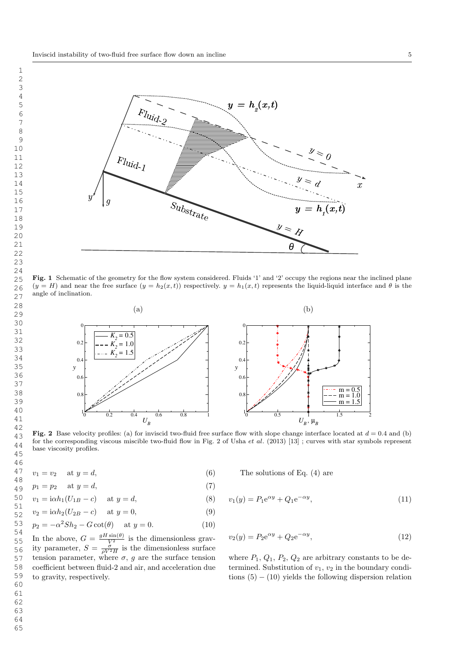

Fig. 1 Schematic of the geometry for the flow system considered. Fluids '1' and '2' occupy the regions near the inclined plane  $(y = H)$  and near the free surface  $(y = h_2(x, t))$  respectively.  $y = h_1(x, t)$  represents the liquid-liquid interface and  $\theta$  is the angle of inclination.



Fig. 2 Base velocity profiles: (a) for inviscid two-fluid free surface flow with slope change interface located at  $d = 0.4$  and (b) for the corresponding viscous miscible two-fluid flow in Fig. 2 of Usha et al. (2013) [13] ; curves with star symbols represent base viscosity profiles.

$$
v_1 = v_2 \quad \text{at } y = d,\tag{6}
$$

$$
p_1 = p_2 \quad \text{at } y = d,\tag{7}
$$

 $v_1 = i\alpha h_1 (U_{1B} - c)$  at  $y = d$ , (8)

$$
v_2 = i\alpha h_2 (U_{2B} - c) \quad \text{at } y = 0,
$$
\n(9)

$$
p_2 = -\alpha^2 Sh_2 - G \cot(\theta) \quad \text{at } y = 0. \tag{10}
$$

In the above,  $G = \frac{gH\sin(\theta)}{V^2}$  is the dimensionless gravity parameter,  $S = \frac{\sigma}{\rho V^2 H}$  is the dimensionless surface tension parameter, where  $\sigma$ , g are the surface tension coefficient between fluid-2 and air, and acceleration due to gravity, respectively.

The solutions of Eq. 
$$
(4)
$$
 are

$$
v_1(y) = P_1 e^{\alpha y} + Q_1 e^{-\alpha y}, \tag{11}
$$

$$
v_2(y) = P_2 e^{\alpha y} + Q_2 e^{-\alpha y},
$$
\n(12)

where  $P_1$ ,  $Q_1$ ,  $P_2$ ,  $Q_2$  are arbitrary constants to be determined. Substitution of  $v_1, v_2$  in the boundary conditions  $(5) - (10)$  yields the following dispersion relation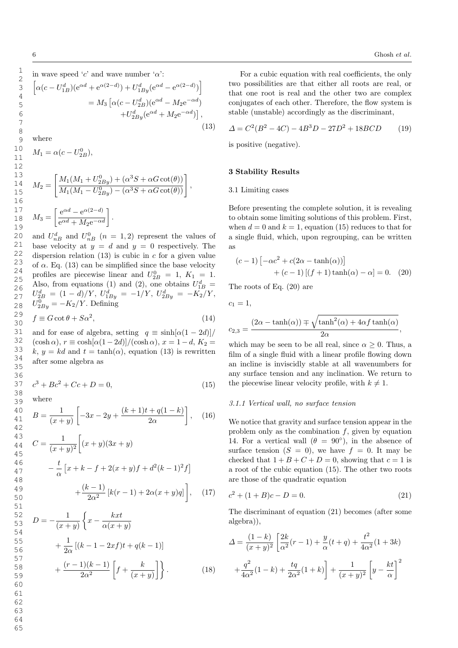where

$$
M_1 = \alpha (c - U_{2B}^0),
$$
  
\n
$$
M_2 = \left[ \frac{M_1 (M_1 + U_{2By}^0) + (\alpha^3 S + \alpha G \cot(\theta))}{M_1 (M_1 - U_{2By}^0) - (\alpha^3 S + \alpha G \cot(\theta))} \right],
$$
  
\n
$$
M_3 = \left[ \frac{e^{\alpha d} - e^{\alpha (2-d)}}{e^{\alpha d} + M_2 e^{-\alpha d}} \right].
$$

and  $U_{nB}^d$  and  $U_{nB}^0$   $(n = 1, 2)$  represent the values of base velocity at  $y = d$  and  $y = 0$  respectively. The dispersion relation  $(13)$  is cubic in c for a given value of  $\alpha$ . Eq. (13) can be simplified since the base velocity profiles are piecewise linear and  $U_{2B}^0 = 1, K_1 = 1.$ Also, from equations (1) and (2), one obtains  $U_{1B}^d$  =  $U_{2B}^d = (1 - d)/Y$ ,  $U_{1By}^d = -1/Y$ ,  $U_{2By}^d = -K_2/Y$ ,  $U_{2By}^0 = -K_2/Y$ . Defining

$$
f \equiv G \cot \theta + S \alpha^2,\tag{14}
$$

and for ease of algebra, setting  $q \equiv \sinh[\alpha(1-2d)]$  $(\cosh \alpha)$ ,  $r \equiv \cosh[\alpha(1 - 2d)]/(\cosh \alpha)$ ,  $x = 1 - d$ ,  $K_2 =$ k,  $y = kd$  and  $t = \tanh(\alpha)$ , equation (13) is rewritten after some algebra as

$$
c^3 + Bc^2 + Cc + D = 0,\t(15)
$$

where

$$
B = \frac{1}{(x+y)} \left[ -3x - 2y + \frac{(k+1)t + q(1-k)}{2\alpha} \right], \quad (16)
$$

$$
C = \frac{1}{(x+y)^2} \left[ (x+y)(3x+y) - \frac{t}{\alpha} \left[ x+k-f+2(x+y)f + d^2(k-1)^2 f \right] + \frac{(k-1)}{2\alpha^2} \left[ k(r-1) + 2\alpha(x+y)q \right] \right], \quad (17)
$$

$$
D = -\frac{1}{(x+y)} \left\{ x - \frac{kxt}{\alpha(x+y)} + \frac{1}{2\alpha} \left[ (k-1-2xf)t + q(k-1) \right] + \frac{(r-1)(k-1)}{2\alpha^2} \left[ f + \frac{k}{(x+y)} \right] \right\}.
$$
 (18)

For a cubic equation with real coefficients, the only two possibilities are that either all roots are real, or that one root is real and the other two are complex conjugates of each other. Therefore, the flow system is stable (unstable) accordingly as the discriminant,

$$
\Delta = C^2(B^2 - 4C) - 4B^3D - 27D^2 + 18BCD \tag{19}
$$

is positive (negative).

### 3 Stability Results

### 3.1 Limiting cases

Before presenting the complete solution, it is revealing to obtain some limiting solutions of this problem. First, when  $d = 0$  and  $k = 1$ , equation (15) reduces to that for a single fluid, which, upon regrouping, can be written as

$$
(c-1)\left[-\alpha c^2 + c(2\alpha - \tanh(\alpha))\right]
$$

$$
+ (c-1)[(f+1)\tanh(\alpha) - \alpha] = 0. \quad (20)
$$

The roots of Eq. (20) are

$$
c_1=1,
$$

$$
c_{2,3} = \frac{(2\alpha - \tanh(\alpha)) \mp \sqrt{\tanh^2(\alpha) + 4\alpha f \tanh(\alpha)}}{2\alpha},
$$

which may be seen to be all real, since  $\alpha \geq 0$ . Thus, a film of a single fluid with a linear profile flowing down an incline is inviscidly stable at all wavenumbers for any surface tension and any inclination. We return to the piecewise linear velocity profile, with  $k \neq 1$ .

### 3.1.1 Vertical wall, no surface tension

We notice that gravity and surface tension appear in the problem only as the combination  $f$ , given by equation 14. For a vertical wall  $(\theta = 90^{\circ})$ , in the absence of surface tension  $(S = 0)$ , we have  $f = 0$ . It may be checked that  $1 + B + C + D = 0$ , showing that  $c = 1$  is a root of the cubic equation (15). The other two roots are those of the quadratic equation

$$
c^2 + (1 + B)c - D = 0.
$$
 (21)

The discriminant of equation (21) becomes (after some algebra)),

$$
\Delta = \frac{(1-k)}{(x+y)^2} \left[ \frac{2k}{\alpha^2} (r-1) + \frac{y}{\alpha} (t+q) + \frac{t^2}{4\alpha^2} (1+3k) + \frac{q^2}{4\alpha^2} (1-k) + \frac{tq}{2\alpha^2} (1+k) \right] + \frac{1}{(x+y)^2} \left[ y - \frac{kt}{\alpha} \right]^2
$$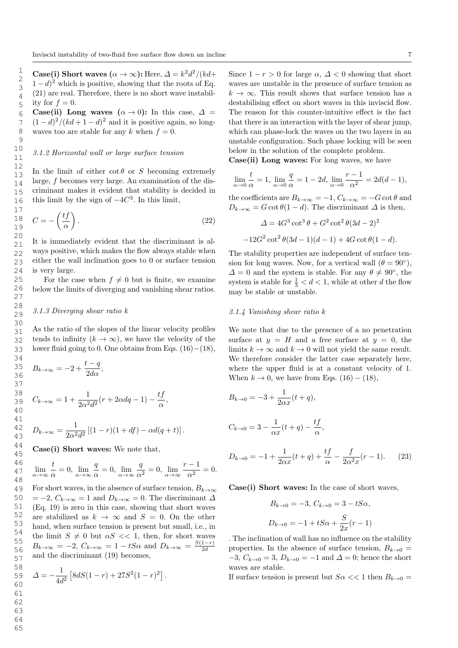Case(i) Short waves  $(\alpha \to \infty)$ : Here,  $\Delta = k^2 d^2 / (k d +$  $(1-d)^2$  which is positive, showing that the roots of Eq. (21) are real. Therefore, there is no short wave instability for  $f = 0$ .

Case(ii) Long waves  $(\alpha \rightarrow 0)$ : In this case,  $\Delta =$  $(1-d)^2/(kd+1-d)^2$  and it is positive again, so longwaves too are stable for any k when  $f = 0$ .

# 3.1.2 Horizontal wall or large surface tension

In the limit of either  $\cot \theta$  or S becoming extremely large, f becomes very large. An examination of the discriminant makes it evident that stability is decided in this limit by the sign of  $-4C^3$ . In this limit,

$$
C = -\left(\frac{tf}{\alpha}\right). \tag{22}
$$

It is immediately evident that the discriminant is always positive, which makes the flow always stable when either the wall inclination goes to 0 or surface tension is very large.

For the case when  $f \neq 0$  but is finite, we examine below the limits of diverging and vanishing shear ratios.

# 3.1.3 Diverging shear ratio k

As the ratio of the slopes of the linear velocity profiles tends to infinity  $(k \to \infty)$ , we have the velocity of the lower fluid going to 0. One obtains from Eqs.  $(16)-(18)$ ,

$$
B_{k\to\infty} = -2 + \frac{t-q}{2d\alpha},
$$
  
\n
$$
C_{k\to\infty} = 1 + \frac{1}{2\alpha^2 d^2} (r + 2\alpha dq - 1) - \frac{tf}{\alpha},
$$
  
\n
$$
D_{k\to\infty} = \frac{1}{2\alpha^2 d^2} [(1-r)(1+df) - \alpha d(q+t)].
$$

Case(i) Short waves: We note that,

$$
\lim_{\alpha \to \infty} \frac{t}{\alpha} = 0, \lim_{\alpha \to \infty} \frac{q}{\alpha} = 0, \lim_{\alpha \to \infty} \frac{q}{\alpha^2} = 0, \lim_{\alpha \to \infty} \frac{r-1}{\alpha^2} = 0.
$$

For short waves, in the absence of surface tension,  $B_{k\to\infty}$  $= -2, C_{k\to\infty} = 1$  and  $D_{k\to\infty} = 0$ . The discriminant  $\Delta$ (Eq. 19) is zero in this case, showing that short waves are stabilized as  $k \to \infty$  and  $S = 0$ . On the other hand, when surface tension is present but small, i.e., in the limit  $S \neq 0$  but  $\alpha S \ll 1$ , then, for short waves  $B_{k\to\infty} = -2$ ,  $C_{k\to\infty} = 1 - tS\alpha$  and  $D_{k\to\infty} = \frac{S(1-r)}{2d}$ 2d and the discriminant (19) becomes,

$$
\Delta = -\frac{1}{4d^2} \left[ 8dS(1-r) + 27S^2(1-r)^2 \right].
$$

Since  $1 - r > 0$  for large  $\alpha$ ,  $\Delta < 0$  showing that short waves are unstable in the presence of surface tension as  $k \to \infty$ . This result shows that surface tension has a destabilising effect on short waves in this inviscid flow. The reason for this counter-intuitive effect is the fact that there is an interaction with the layer of shear jump, which can phase-lock the waves on the two layers in an unstable configuration. Such phase locking will be seen below in the solution of the complete problem.

Case(ii) Long waves: For long waves, we have

$$
\lim_{\alpha \to 0} \frac{t}{\alpha} = 1, \lim_{\alpha \to 0} \frac{q}{\alpha} = 1 - 2d, \lim_{\alpha \to 0} \frac{r - 1}{\alpha^2} = 2d(d - 1),
$$

the coefficients are  $B_{k\to\infty} = -1, C_{k\to\infty} = -G \cot \theta$  and  $D_{k\to\infty} = G \cot \theta (1 - d)$ . The discriminant  $\Delta$  is then,

$$
\Delta = 4G^3 \cot^3 \theta + G^2 \cot^2 \theta (3d - 2)^2
$$

$$
-12G^2 \cot^2 \theta (3d - 1)(d - 1) + 4G \cot \theta (1 - d).
$$

The stability properties are independent of surface tension for long waves. Now, for a vertical wall  $(\theta = 90^{\circ})$ ,  $\Delta = 0$  and the system is stable. For any  $\theta \neq 90^{\circ}$ , the system is stable for  $\frac{1}{3} < d < 1$ , while at other d the flow may be stable or unstable.

### 3.1.4 Vanishing shear ratio k

We note that due to the presence of a no penetration surface at  $y = H$  and a free surface at  $y = 0$ , the limits  $k \to \infty$  and  $k \to 0$  will not yield the same result. We therefore consider the latter case separately here, where the upper fluid is at a constant velocity of 1. When  $k \to 0$ , we have from Eqs. (16) – (18),

$$
B_{k\to 0} = -3 + \frac{1}{2\alpha x}(t+q),
$$
  
\n
$$
C_{k\to 0} = 3 - \frac{1}{\alpha x}(t+q) - \frac{tf}{\alpha},
$$
  
\n
$$
D_{k\to 0} = -1 + \frac{1}{2} (t+q) + \frac{tf}{\alpha} - \frac{f}{\alpha} (t+q)
$$
 (23)

$$
D_{k \to 0} = -1 + \frac{1}{2\alpha x}(t+q) + \frac{t}{\alpha} - \frac{1}{2\alpha^2 x}(r-1).
$$
 (23)

Case(i) Short waves: In the case of short waves,

$$
B_{k \to 0} = -3, C_{k \to 0} = 3 - tS\alpha,
$$
  

$$
D_{k \to 0} = -1 + tS\alpha + \frac{S}{2x}(r - 1)
$$

. The inclination of wall has no influence on the stability properties. In the absence of surface tension,  $B_{k\to 0} =$  $-3$ ,  $C_{k\rightarrow 0} = 3$ ,  $D_{k\rightarrow 0} = -1$  and  $\Delta = 0$ ; hence the short waves are stable.

If surface tension is present but  $S\alpha \ll 1$  then  $B_{k\to 0} =$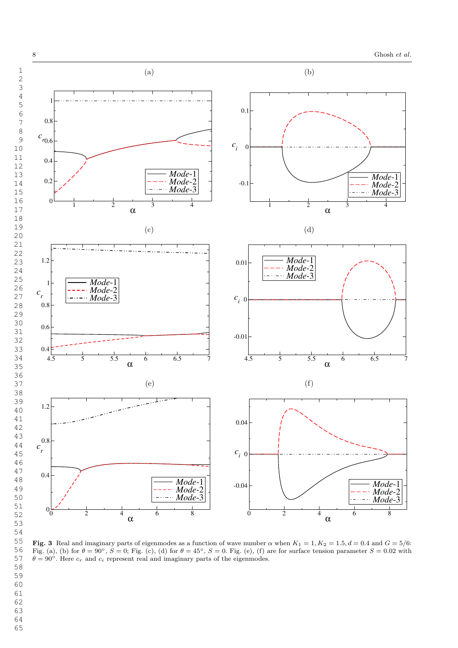

Fig. 3 Real and imaginary parts of eigenmodes as a function of wave number  $\alpha$  when  $K_1 = 1, K_2 = 1.5, d = 0.4$  and  $G = 5/6$ : Fig. (a), (b) for  $\theta = 90^{\circ}$ ,  $S = 0$ ; Fig. (c), (d) for  $\theta = 45^{\circ}$ ,  $S = 0$ . Fig. (e), (f) are for surface tension parameter  $S = 0.02$  with  $\theta = 90^{\circ}$ . Here  $c_r$  and  $c_i$  represent real and imaginary parts of the eigenmodes.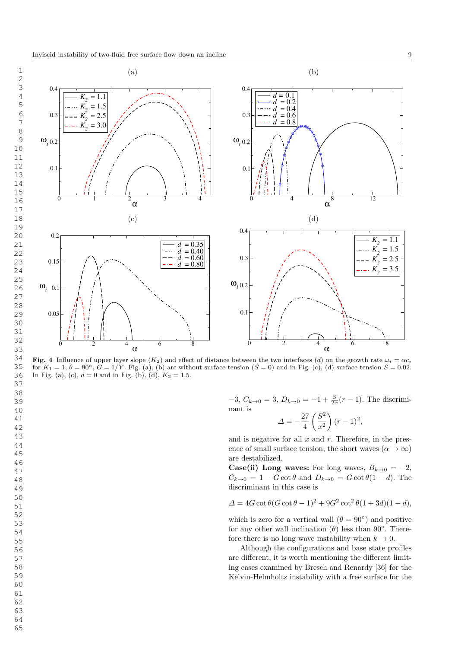

Fig. 4 Influence of upper layer slope  $(K_2)$  and effect of distance between the two interfaces (d) on the growth rate  $\omega_i = \alpha c_i$ for  $K_1 = 1$ ,  $\theta = 90^\circ$ ,  $G = 1/Y$ . Fig. (a), (b) are without surface tension  $(S = 0)$  and in Fig. (c), (d) surface tension  $S = 0.02$ . In Fig. (a), (c),  $d = 0$  and in Fig. (b), (d),  $K_2 = 1.5$ .

 $-3$ ,  $C_{k\to 0} = 3$ ,  $D_{k\to 0} = -1 + \frac{S}{2x}(r-1)$ . The discriminant is

$$
\Delta = -\frac{27}{4} \left( \frac{S^2}{x^2} \right) (r - 1)^2,
$$

and is negative for all  $x$  and  $r$ . Therefore, in the presence of small surface tension, the short waves  $(\alpha \to \infty)$ are destabilized.

**Case(ii)** Long waves: For long waves,  $B_{k\to 0} = -2$ ,  $C_{k\to 0} = 1 - G \cot \theta$  and  $D_{k\to 0} = G \cot \theta (1 - d)$ . The discriminant in this case is

$$
\Delta = 4G \cot \theta (G \cot \theta - 1)^2 + 9G^2 \cot^2 \theta (1 + 3d)(1 - d),
$$

which is zero for a vertical wall  $(\theta = 90^{\circ})$  and positive for any other wall inclination  $(\theta)$  less than 90°. Therefore there is no long wave instability when  $k \to 0$ .

Although the configurations and base state profiles are different, it is worth mentioning the different limiting cases examined by Bresch and Renardy [36] for the Kelvin-Helmholtz instability with a free surface for the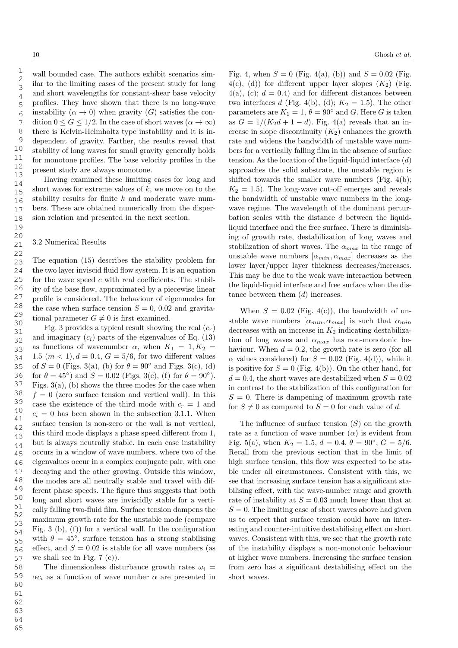1 2

wall bounded case. The authors exhibit scenarios similar to the limiting cases of the present study for long and short wavelengths for constant-shear base velocity profiles. They have shown that there is no long-wave instability  $(\alpha \to 0)$  when gravity  $(G)$  satisfies the condition  $0 \le G \le 1/2$ . In the case of short waves  $(\alpha \to \infty)$ there is Kelvin-Helmholtz type instability and it is independent of gravity. Farther, the results reveal that stability of long waves for small gravity generally holds for monotone profiles. The base velocity profiles in the present study are always monotone.

Having examined these limiting cases for long and short waves for extreme values of  $k$ , we move on to the stability results for finite k and moderate wave numbers. These are obtained numerically from the dispersion relation and presented in the next section.

### 3.2 Numerical Results

The equation (15) describes the stability problem for the two layer inviscid fluid flow system. It is an equation for the wave speed  $c$  with real coefficients. The stability of the base flow, approximated by a piecewise linear profile is considered. The behaviour of eigenmodes for the case when surface tension  $S = 0$ , 0.02 and gravitational parameter  $G \neq 0$  is first examined.

Fig. 3 provides a typical result showing the real  $(c_r)$ and imaginary  $(c_i)$  parts of the eigenvalues of Eq. (13) as functions of wavenumber  $\alpha$ , when  $K_1 = 1, K_2 =$ 1.5  $(m < 1), d = 0.4, G = 5/6$ , for two different values of  $S = 0$  (Figs. 3(a), (b) for  $\theta = 90^{\circ}$  and Figs. 3(c), (d) for  $\theta = 45^{\circ}$ ) and  $S = 0.02$  (Figs. 3(e), (f) for  $\theta = 90^{\circ}$ ). Figs.  $3(a)$ , (b) shows the three modes for the case when  $f = 0$  (zero surface tension and vertical wall). In this case the existence of the third mode with  $c_r = 1$  and  $c_i = 0$  has been shown in the subsection 3.1.1. When surface tension is non-zero or the wall is not vertical, this third mode displays a phase speed different from 1, but is always neutrally stable. In each case instability occurs in a window of wave numbers, where two of the eigenvalues occur in a complex conjugate pair, with one decaying and the other growing. Outside this window, the modes are all neutrally stable and travel with different phase speeds. The figure thus suggests that both long and short waves are inviscidly stable for a vertically falling two-fluid film. Surface tension dampens the maximum growth rate for the unstable mode (compare Fig. 3 (b),  $(f)$  for a vertical wall. In the configuration with  $\theta = 45^{\circ}$ , surface tension has a strong stabilising effect, and  $S = 0.02$  is stable for all wave numbers (as we shall see in Fig. 7 (c)).

The dimensionless disturbance growth rates  $\omega_i$  =  $\alpha c_i$  as a function of wave number  $\alpha$  are presented in Fig. 4, when  $S = 0$  (Fig. 4(a), (b)) and  $S = 0.02$  (Fig.  $4(c)$ , (d)) for different upper layer slopes  $(K_2)$  (Fig.  $4(a)$ , (c);  $d = 0.4$ ) and for different distances between two interfaces d (Fig. 4(b), (d);  $K_2 = 1.5$ ). The other parameters are  $K_1 = 1$ ,  $\theta = 90^{\circ}$  and G. Here G is taken as  $G = 1/(K_2d + 1 - d)$ . Fig. 4(a) reveals that an increase in slope discontinuity  $(K_2)$  enhances the growth rate and widens the bandwidth of unstable wave numbers for a vertically falling film in the absence of surface tension. As the location of the liquid-liquid interface  $(d)$ approaches the solid substrate, the unstable region is shifted towards the smaller wave numbers (Fig. 4(b);  $K_2 = 1.5$ . The long-wave cut-off emerges and reveals the bandwidth of unstable wave numbers in the longwave regime. The wavelength of the dominant perturbation scales with the distance d between the liquidliquid interface and the free surface. There is diminishing of growth rate, destabilization of long waves and stabilization of short waves. The  $\alpha_{max}$  in the range of unstable wave numbers  $[\alpha_{min}, \alpha_{max}]$  decreases as the lower layer/upper layer thickness decreases/increases. This may be due to the weak wave interaction between the liquid-liquid interface and free surface when the distance between them  $(d)$  increases.

When  $S = 0.02$  (Fig. 4(c)), the bandwidth of unstable wave numbers  $[\alpha_{min}, \alpha_{max}]$  is such that  $\alpha_{min}$ decreases with an increase in  $K_2$  indicating destabilization of long waves and  $\alpha_{max}$  has non-monotonic behaviour. When  $d = 0.2$ , the growth rate is zero (for all  $\alpha$  values considered) for  $S = 0.02$  (Fig. 4(d)), while it is positive for  $S = 0$  (Fig. 4(b)). On the other hand, for  $d = 0.4$ , the short waves are destabilized when  $S = 0.02$ in contrast to the stabilization of this configuration for  $S = 0$ . There is dampening of maximum growth rate for  $S \neq 0$  as compared to  $S = 0$  for each value of d.

The influence of surface tension  $(S)$  on the growth rate as a function of wave number  $(\alpha)$  is evident from Fig. 5(a), when  $K_2 = 1.5$ ,  $d = 0.4$ ,  $\theta = 90^{\circ}$ ,  $G = 5/6$ . Recall from the previous section that in the limit of high surface tension, this flow was expected to be stable under all circumstances. Consistent with this, we see that increasing surface tension has a significant stabilising effect, with the wave-number range and growth rate of instability at  $S = 0.03$  much lower than that at  $S = 0$ . The limiting case of short waves above had given us to expect that surface tension could have an interesting and counter-intuitive destabilising effect on short waves. Consistent with this, we see that the growth rate of the instability displays a non-monotonic behaviour at higher wave numbers. Increasing the surface tension from zero has a significant destabilising effect on the short waves.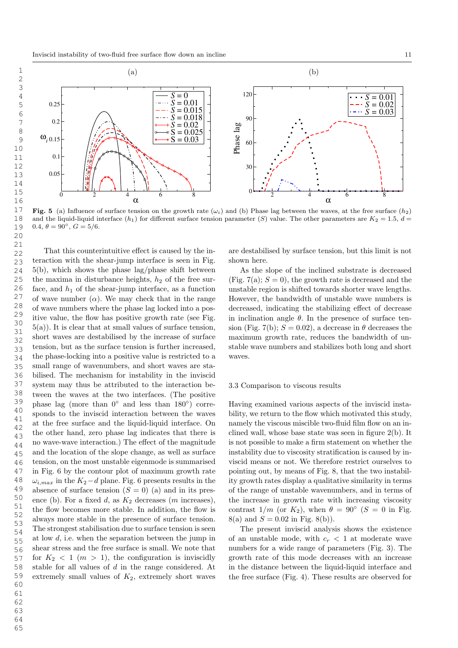

Fig. 5 (a) Influence of surface tension on the growth rate  $(\omega_i)$  and (b) Phase lag between the waves, at the free surface  $(h_2)$ and the liquid-liquid interface  $(h_1)$  for different surface tension parameter  $(S)$  value. The other parameters are  $K_2 = 1.5$ ,  $d =$ 0.4,  $\theta = 90^{\circ}$ ,  $G = 5/6$ .

That this counterintuitive effect is caused by the interaction with the shear-jump interface is seen in Fig. 5(b), which shows the phase lag/phase shift between the maxima in disturbance heights,  $h_2$  of the free surface, and  $h_1$  of the shear-jump interface, as a function of wave number  $(\alpha)$ . We may check that in the range of wave numbers where the phase lag locked into a positive value, the flow has positive growth rate (see Fig. 5(a)). It is clear that at small values of surface tension, short waves are destabilised by the increase of surface tension, but as the surface tension is further increased, the phase-locking into a positive value is restricted to a small range of wavenumbers, and short waves are stabilised. The mechanism for instability in the inviscid system may thus be attributed to the interaction between the waves at the two interfaces. (The positive phase lag (more than  $0^{\circ}$  and less than  $180^{\circ}$ ) corresponds to the inviscid interaction between the waves at the free surface and the liquid-liquid interface. On the other hand, zero phase lag indicates that there is no wave-wave interaction.) The effect of the magnitude and the location of the slope change, as well as surface tension, on the most unstable eigenmode is summarised in Fig. 6 by the contour plot of maximum growth rate  $\omega_{i,max}$  in the  $K_2-d$  plane. Fig. 6 presents results in the absence of surface tension  $(S = 0)$  (a) and in its presence (b). For a fixed  $d$ , as  $K_2$  decreases (m increases), the flow becomes more stable. In addition, the flow is always more stable in the presence of surface tension. The strongest stabilisation due to surface tension is seen at low  $d$ , i.e. when the separation between the jump in shear stress and the free surface is small. We note that for  $K_2 < 1$  ( $m > 1$ ), the configuration is inviscidly stable for all values of d in the range considered. At extremely small values of  $K_2$ , extremely short waves 21 22 23 24 25 26 27 28 29 30 31 32 33 34 35 36 37 38 39 40 41 42 43 44 45 46 47 48 49 50 51 52 53 54 55 56 57 58 59 60

are destabilised by surface tension, but this limit is not shown here.

As the slope of the inclined substrate is decreased (Fig. 7(a);  $S = 0$ ), the growth rate is decreased and the unstable region is shifted towards shorter wave lengths. However, the bandwidth of unstable wave numbers is decreased, indicating the stabilizing effect of decrease in inclination angle  $\theta$ . In the presence of surface tension (Fig. 7(b);  $S = 0.02$ ), a decrease in  $\theta$  decreases the maximum growth rate, reduces the bandwidth of unstable wave numbers and stabilizes both long and short waves.

#### 3.3 Comparison to viscous results

Having examined various aspects of the inviscid instability, we return to the flow which motivated this study, namely the viscous miscible two-fluid film flow on an inclined wall, whose base state was seen in figure 2(b). It is not possible to make a firm statement on whether the instability due to viscosity stratification is caused by inviscid means or not. We therefore restrict ourselves to pointing out, by means of Fig. 8, that the two instability growth rates display a qualitative similarity in terms of the range of unstable wavenumbers, and in terms of the increase in growth rate with increasing viscosity contrast  $1/m$  (or  $K_2$ ), when  $\theta = 90^{\circ}$  (S = 0 in Fig. 8(a) and  $S = 0.02$  in Fig. 8(b)).

The present inviscid analysis shows the existence of an unstable mode, with  $c_r < 1$  at moderate wave numbers for a wide range of parameters (Fig. 3). The growth rate of this mode decreases with an increase in the distance between the liquid-liquid interface and the free surface (Fig. 4). These results are observed for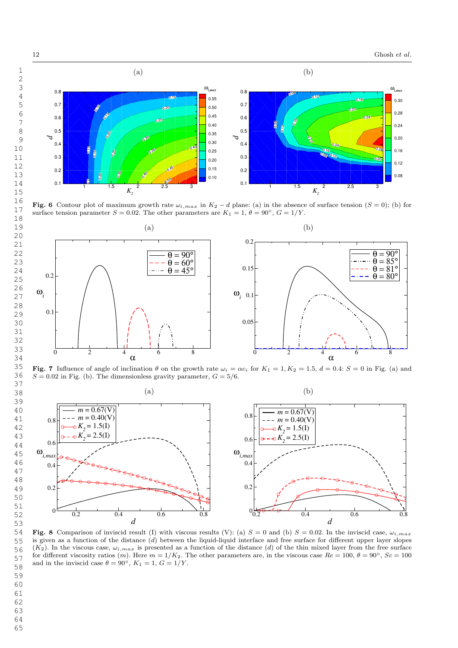

Fig. 6 Contour plot of maximum growth rate  $\omega_{i,max}$  in  $K_2 - d$  plane: (a) in the absence of surface tension  $(S = 0)$ ; (b) for surface tension parameter  $S = 0.02$ . The other parameters are  $K_1 = 1, \theta = 90^{\circ}, G = 1/Y$ .



Fig. 7 Influence of angle of inclination  $\theta$  on the growth rate  $\omega_i = \alpha c_i$  for  $K_1 = 1, K_2 = 1.5, d = 0.4$ :  $S = 0$  in Fig. (a) and  $S = 0.02$  in Fig. (b). The dimensionless gravity parameter,  $G = 5/6$ .



Fig. 8 Comparison of inviscid result (I) with viscous results (V): (a)  $S = 0$  and (b)  $S = 0.02$ . In the inviscid case,  $\omega_{i,max}$ is given as a function of the distance  $(d)$  between the liquid-liquid interface and free surface for different upper layer slopes  $(K_2)$ . In the viscous case,  $\omega_{i,max}$  is presented as a function of the distance (d) of the thin mixed layer from the free surface for different viscosity ratios (m). Here  $m = 1/K_2$ . The other parameters are, in the viscous case  $Re = 100, \theta = 90^{\circ}, Sc = 100$ and in the inviscid case  $\theta = 90^{\circ}$ ,  $K_1 = 1$ ,  $G = 1/Y$ .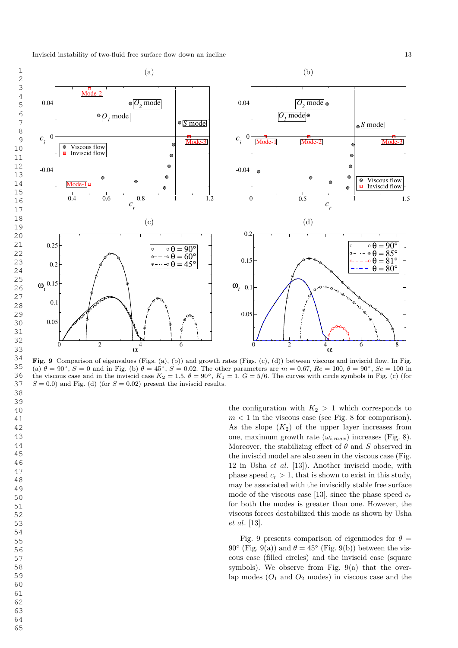

Fig. 9 Comparison of eigenvalues (Figs. (a), (b)) and growth rates (Figs. (c), (d)) between viscous and inviscid flow. In Fig. (a)  $\theta = 90^{\circ}$ ,  $S = 0$  and in Fig. (b)  $\theta = 45^{\circ}$ ,  $S = 0.02$ . The other parameters are  $m = 0.67$ ,  $Re = 100$ ,  $\theta = 90^{\circ}$ ,  $Sc = 100$  in the viscous case and in the inviscid case  $K_2 = 1.5$ ,  $\theta = 90^\circ$ ,  $K_1 = 1$ ,  $G = 5/6$ . The curves with circle symbols in Fig. (c) (for  $S = 0.0$ ) and Fig. (d) (for  $S = 0.02$ ) present the inviscid results.

the configuration with  $K_2 > 1$  which corresponds to  $m < 1$  in the viscous case (see Fig. 8 for comparison). As the slope  $(K_2)$  of the upper layer increases from one, maximum growth rate  $(\omega_{i,max})$  increases (Fig. 8). Moreover, the stabilizing effect of  $\theta$  and S observed in the inviscid model are also seen in the viscous case (Fig. 12 in Usha  $et \ al.$  [13]). Another inviscid mode, with phase speed  $c_r > 1$ , that is shown to exist in this study, may be associated with the inviscidly stable free surface mode of the viscous case [13], since the phase speed  $c_r$ for both the modes is greater than one. However, the viscous forces destabilized this mode as shown by Usha et al. [13].

Fig. 9 presents comparison of eigenmodes for  $\theta =$ 90° (Fig. 9(a)) and  $\theta = 45$ ° (Fig. 9(b)) between the viscous case (filled circles) and the inviscid case (square symbols). We observe from Fig.  $9(a)$  that the overlap modes  $(O_1 \text{ and } O_2 \text{ modes})$  in viscous case and the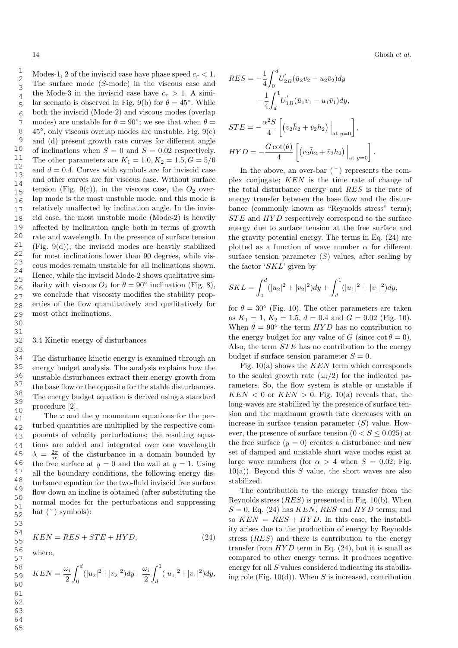Modes-1, 2 of the inviscid case have phase speed  $c_r < 1$ . The surface mode (S-mode) in the viscous case and the Mode-3 in the inviscid case have  $c_r > 1$ . A similar scenario is observed in Fig. 9(b) for  $\theta = 45^{\circ}$ . While both the inviscid (Mode-2) and viscous modes (overlap modes) are unstable for  $\theta = 90^{\circ}$ ; we see that when  $\theta =$  $45^{\circ}$ , only viscous overlap modes are unstable. Fig.  $9(c)$ and (d) present growth rate curves for different angle of inclinations when  $S = 0$  and  $S = 0.02$  respectively. The other parameters are  $K_1 = 1.0, K_2 = 1.5, G = 5/6$ and  $d = 0.4$ . Curves with symbols are for inviscid case and other curves are for viscous case. Without surface tension (Fig. 9(c)), in the viscous case, the  $O_2$  overlap mode is the most unstable mode, and this mode is relatively unaffected by inclination angle. In the inviscid case, the most unstable mode (Mode-2) is heavily affected by inclination angle both in terms of growth rate and wavelength. In the presence of surface tension (Fig. 9(d)), the inviscid modes are heavily stabilized for most inclinations lower than 90 degrees, while viscous modes remain unstable for all inclinations shown. Hence, while the inviscid Mode-2 shows qualitative similarity with viscous  $O_2$  for  $\theta = 90^\circ$  inclination (Fig. 8), we conclude that viscosity modifies the stability properties of the flow quantitatively and qualitatively for most other inclinations.

### 3.4 Kinetic energy of disturbances

The disturbance kinetic energy is examined through an energy budget analysis. The analysis explains how the unstable disturbances extract their energy growth from the base flow or the opposite for the stable disturbances. The energy budget equation is derived using a standard procedure [2].

The  $x$  and the  $y$  momentum equations for the perturbed quantities are multiplied by the respective components of velocity perturbations; the resulting equations are added and integrated over one wavelength  $\lambda = \frac{2\pi}{\alpha}$  of the disturbance in a domain bounded by the free surface at  $y = 0$  and the wall at  $y = 1$ . Using all the boundary conditions, the following energy disturbance equation for the two-fluid inviscid free surface flow down an incline is obtained (after substituting the normal modes for the perturbations and suppressing hat  $(\hat{\ })$  symbols):

$$
KEN = RES +STE + HYD, \t(24)
$$

where,

$$
KEN = \frac{\omega_i}{2} \int_0^d (|u_2|^2 + |v_2|^2) dy + \frac{\omega_i}{2} \int_d^1 (|u_1|^2 + |v_1|^2) dy,
$$

$$
RES = -\frac{1}{4} \int_0^d U'_{2B} (\bar{u}_2 v_2 - u_2 \bar{v}_2) dy
$$
  

$$
-\frac{1}{4} \int_d^1 U'_{1B} (\bar{u}_1 v_1 - u_1 \bar{v}_1) dy,
$$
  

$$
STE = -\frac{\alpha^2 S}{4} \left[ (v_2 \bar{h}_2 + \bar{v}_2 h_2) \Big|_{\text{at } y=0} \right],
$$
  

$$
HYD = -\frac{G \cot(\theta)}{4} \left[ (v_2 \bar{h}_2 + \bar{v}_2 h_2) \Big|_{\text{at } y=0} \right].
$$

In the above, an over-bar  $($ <sup>-</sup> $)$  represents the complex conjugate; KEN is the time rate of change of the total disturbance energy and RES is the rate of energy transfer between the base flow and the disturbance (commonly known as "Reynolds stress" term); STE and HYD respectively correspond to the surface energy due to surface tension at the free surface and the gravity potential energy. The terms in Eq. (24) are plotted as a function of wave number  $\alpha$  for different surface tension parameter  $(S)$  values, after scaling by the factor  $SKL$  given by

$$
SKL = \int_0^d (|u_2|^2 + |v_2|^2) dy + \int_d^1 (|u_1|^2 + |v_1|^2) dy,
$$

for  $\theta = 30^{\circ}$  (Fig. 10). The other parameters are taken as  $K_1 = 1, K_2 = 1.5, d = 0.4$  and  $G = 0.02$  (Fig. 10). When  $\theta = 90^{\circ}$  the term  $HYD$  has no contribution to the energy budget for any value of G (since  $\cot \theta = 0$ ). Also, the term *STE* has no contribution to the energy budget if surface tension parameter  $S = 0$ .

Fig.  $10(a)$  shows the *KEN* term which corresponds to the scaled growth rate  $(\omega_i/2)$  for the indicated parameters. So, the flow system is stable or unstable if  $KEN < 0$  or  $KEN > 0$ . Fig. 10(a) reveals that, the long-waves are stabilized by the presence of surface tension and the maximum growth rate decreases with an increase in surface tension parameter  $(S)$  value. However, the presence of surface tension  $(0 < S \leq 0.025)$  at the free surface  $(y = 0)$  creates a disturbance and new set of damped and unstable short wave modes exist at large wave numbers (for  $\alpha > 4$  when  $S = 0.02$ ; Fig.  $10(a)$ ). Beyond this S value, the short waves are also stabilized.

The contribution to the energy transfer from the Reynolds stress  $(RES)$  is presented in Fig. 10(b). When  $S = 0$ , Eq. (24) has KEN, RES and HYD terms, and so  $KEN = RES + HYD$ . In this case, the instability arises due to the production of energy by Reynolds stress (RES) and there is contribution to the energy transfer from  $HYD$  term in Eq. (24), but it is small as compared to other energy terms. It produces negative energy for all S values considered indicating its stabilizing role (Fig.  $10(d)$ ). When S is increased, contribution

63 64 65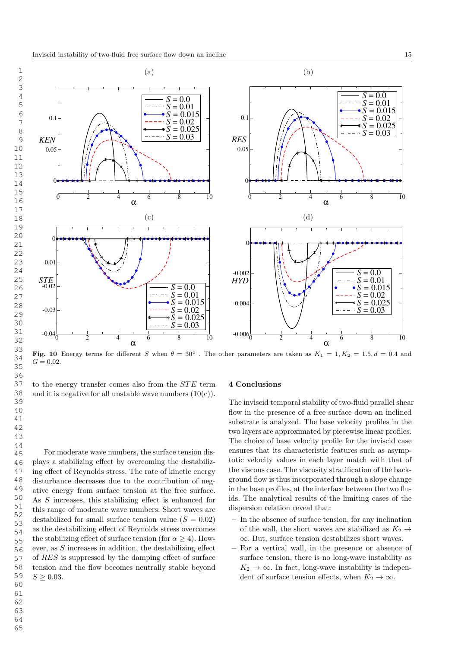

Fig. 10 Energy terms for different S when  $\theta = 30^{\circ}$ . The other parameters are taken as  $K_1 = 1, K_2 = 1.5, d = 0.4$  and  $G = 0.02$ .

to the energy transfer comes also from the STE term and it is negative for all unstable wave numbers  $(10(c))$ .

For moderate wave numbers, the surface tension displays a stabilizing effect by overcoming the destabilizing effect of Reynolds stress. The rate of kinetic energy disturbance decreases due to the contribution of negative energy from surface tension at the free surface. As S increases, this stabilizing effect is enhanced for this range of moderate wave numbers. Short waves are destabilized for small surface tension value  $(S = 0.02)$ as the destabilizing effect of Reynolds stress overcomes the stabilizing effect of surface tension (for  $\alpha \geq 4$ ). However, as S increases in addition, the destabilizing effect of RES is suppressed by the damping effect of surface tension and the flow becomes neutrally stable beyond  $S \geq 0.03$ .

## 4 Conclusions

The inviscid temporal stability of two-fluid parallel shear flow in the presence of a free surface down an inclined substrate is analyzed. The base velocity profiles in the two layers are approximated by piecewise linear profiles. The choice of base velocity profile for the inviscid case ensures that its characteristic features such as asymptotic velocity values in each layer match with that of the viscous case. The viscosity stratification of the background flow is thus incorporated through a slope change in the base profiles, at the interface between the two fluids. The analytical results of the limiting cases of the dispersion relation reveal that:

- In the absence of surface tension, for any inclination of the wall, the short waves are stabilized as  $K_2 \rightarrow$  $\infty$ . But, surface tension destabilizes short waves.
- For a vertical wall, in the presence or absence of surface tension, there is no long-wave instability as  $K_2 \rightarrow \infty$ . In fact, long-wave instability is independent of surface tension effects, when  $K_2 \to \infty$ .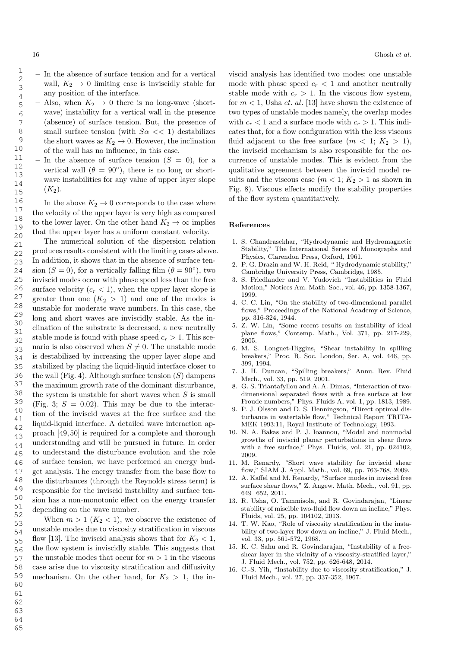- In the absence of surface tension and for a vertical wall,  $K_2 \rightarrow 0$  limiting case is inviscidly stable for any position of the interface.
- Also, when  $K_2 \rightarrow 0$  there is no long-wave (shortwave) instability for a vertical wall in the presence (absence) of surface tension. But, the presence of small surface tension (with  $S\alpha \ll 1$ ) destabilizes the short waves as  $K_2 \to 0$ . However, the inclination of the wall has no influence, in this case.
- In the absence of surface tension  $(S = 0)$ , for a vertical wall  $(\theta = 90^{\circ})$ , there is no long or shortwave instabilities for any value of upper layer slope  $(K_2).$

In the above  $K_2 \rightarrow 0$  corresponds to the case where the velocity of the upper layer is very high as compared to the lower layer. On the other hand  $K_2 \to \infty$  implies that the upper layer has a uniform constant velocity.

The numerical solution of the dispersion relation produces results consistent with the limiting cases above. In addition, it shows that in the absence of surface tension  $(S = 0)$ , for a vertically falling film  $(\theta = 90^{\circ})$ , two inviscid modes occur with phase speed less than the free surface velocity  $(c_r < 1)$ , when the upper layer slope is greater than one  $(K_2 > 1)$  and one of the modes is unstable for moderate wave numbers. In this case, the long and short waves are inviscidly stable. As the inclination of the substrate is decreased, a new neutrally stable mode is found with phase speed  $c_r > 1$ . This scenario is also observed when  $S \neq 0$ . The unstable mode is destabilized by increasing the upper layer slope and stabilized by placing the liquid-liquid interface closer to the wall (Fig. 4). Although surface tension  $(S)$  dampens the maximum growth rate of the dominant disturbance, the system is unstable for short waves when  $S$  is small (Fig. 3;  $S = 0.02$ ). This may be due to the interaction of the inviscid waves at the free surface and the liquid-liquid interface. A detailed wave interaction approach [49, 50] is required for a complete and thorough understanding and will be pursued in future. In order to understand the disturbance evolution and the role of surface tension, we have performed an energy budget analysis. The energy transfer from the base flow to the disturbances (through the Reynolds stress term) is responsible for the inviscid instability and surface tension has a non-monotonic effect on the energy transfer depending on the wave number.

When  $m > 1$   $(K_2 < 1)$ , we observe the existence of unstable modes due to viscosity stratification in viscous flow [13]. The inviscid analysis shows that for  $K_2 < 1$ , the flow system is inviscidly stable. This suggests that the unstable modes that occur for  $m > 1$  in the viscous case arise due to viscosity stratification and diffusivity mechanism. On the other hand, for  $K_2 > 1$ , the in-

viscid analysis has identified two modes: one unstable mode with phase speed  $c_r < 1$  and another neutrally stable mode with  $c_r > 1$ . In the viscous flow system, for  $m < 1$ , Usha *et. al.* [13] have shown the existence of two types of unstable modes namely, the overlap modes with  $c_r < 1$  and a surface mode with  $c_r > 1$ . This indicates that, for a flow configuration with the less viscous fluid adjacent to the free surface  $(m < 1; K_2 > 1)$ , the inviscid mechanism is also responsible for the occurrence of unstable modes. This is evident from the qualitative agreement between the inviscid model results and the viscous case  $(m < 1; K_2 > 1$  as shown in Fig. 8). Viscous effects modify the stability properties of the flow system quantitatively.

### References

- 1. S. Chandrasekhar, "Hydrodynamic and Hydromagnetic Stability," The International Series of Monographs and Physics, Clarendon Press, Oxford, 1961.
- 2. P. G. Drazin and W. H. Reid, " Hydrodynamic stability," Cambridge University Press, Cambridge, 1985.
- 3. S. Friedlander and V. Yudovich "Instabilities in Fluid Motion," Notices Am. Math. Soc., vol. 46, pp. 1358-1367, 1999.
- 4. C. C. Lin, "On the stability of two-dimensional parallel flows," Proceedings of the National Academy of Science, pp. 316-324, 1944.
- 5. Z. W. Lin, "Some recent results on instability of ideal plane flows," Contemp. Math., Vol. 371, pp. 217-229, 2005.
- 6. M. S. Longuet-Higgins, "Shear instability in spilling breakers," Proc. R. Soc. London, Ser. A, vol. 446, pp. 399, 1994.
- 7. J. H. Duncan, "Spilling breakers," Annu. Rev. Fluid Mech., vol. 33, pp. 519, 2001.
- 8. G. S. Triantafyllou and A. A. Dimas, "Interaction of twodimensional separated flows with a free surface at low Froude numbers," Phys. Fluids A, vol. 1, pp. 1813, 1989.
- 9. P. J. Olsson and D. S. Henningson, "Direct optimal disturbance in watertable flow," Technical Report TRITA-MEK 1993:11, Royal Institute of Technology, 1993.
- 10. N. A. Bakas and P. J. Ioannou, "Modal and nonmodal growths of inviscid planar perturbations in shear flows with a free surface," Phys. Fluids, vol. 21, pp. 024102, 2009.
- 11. M. Renardy, "Short wave stability for inviscid shear flow," SIAM J. Appl. Math., vol. 69, pp. 763-768, 2009.
- 12. A. Kaffel and M. Renardy, "Surface modes in inviscid free surface shear flows," Z. Angew. Math. Mech., vol. 91, pp. 649 652, 2011.
- 13. R. Usha, O. Tammisola, and R. Govindarajan, "Linear stability of miscible two-fluid flow down an incline," Phys. Fluids, vol. 25, pp. 104102, 2013.
- 14. T. W. Kao, "Role of viscosity stratification in the instability of two-layer flow down an incline," J. Fluid Mech., vol. 33, pp. 561-572, 1968.
- 15. K. C. Sahu and R. Govindarajan, "Instability of a freeshear layer in the vicinity of a viscosity-stratified layer," J. Fluid Mech., vol. 752, pp. 626-648, 2014.
- 16. C.-S. Yih, "Instability due to viscosity stratification," J. Fluid Mech., vol. 27, pp. 337-352, 1967.

1

62 63

64